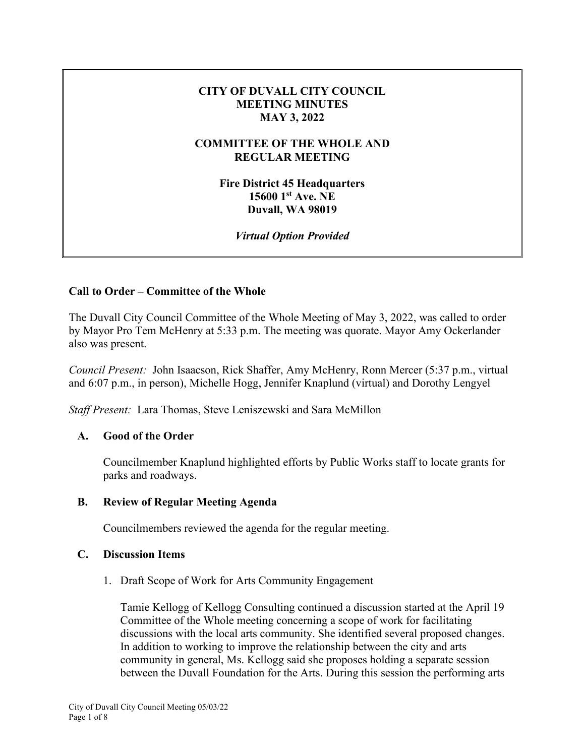### **CITY OF DUVALL CITY COUNCIL MEETING MINUTES MAY 3, 2022**

### **COMMITTEE OF THE WHOLE AND REGULAR MEETING**

**Fire District 45 Headquarters 15600 1st Ave. NE Duvall, WA 98019** 

*Virtual Option Provided* 

# **Call to Order – Committee of the Whole**

The Duvall City Council Committee of the Whole Meeting of May 3, 2022, was called to order by Mayor Pro Tem McHenry at 5:33 p.m. The meeting was quorate. Mayor Amy Ockerlander also was present.

*Council Present:* John Isaacson, Rick Shaffer, Amy McHenry, Ronn Mercer (5:37 p.m., virtual and 6:07 p.m., in person), Michelle Hogg, Jennifer Knaplund (virtual) and Dorothy Lengyel

*Staff Present:* Lara Thomas, Steve Leniszewski and Sara McMillon

#### **A. Good of the Order**

Councilmember Knaplund highlighted efforts by Public Works staff to locate grants for parks and roadways.

#### **B. Review of Regular Meeting Agenda**

Councilmembers reviewed the agenda for the regular meeting.

#### **C. Discussion Items**

1. Draft Scope of Work for Arts Community Engagement

Tamie Kellogg of Kellogg Consulting continued a discussion started at the April 19 Committee of the Whole meeting concerning a scope of work for facilitating discussions with the local arts community. She identified several proposed changes. In addition to working to improve the relationship between the city and arts community in general, Ms. Kellogg said she proposes holding a separate session between the Duvall Foundation for the Arts. During this session the performing arts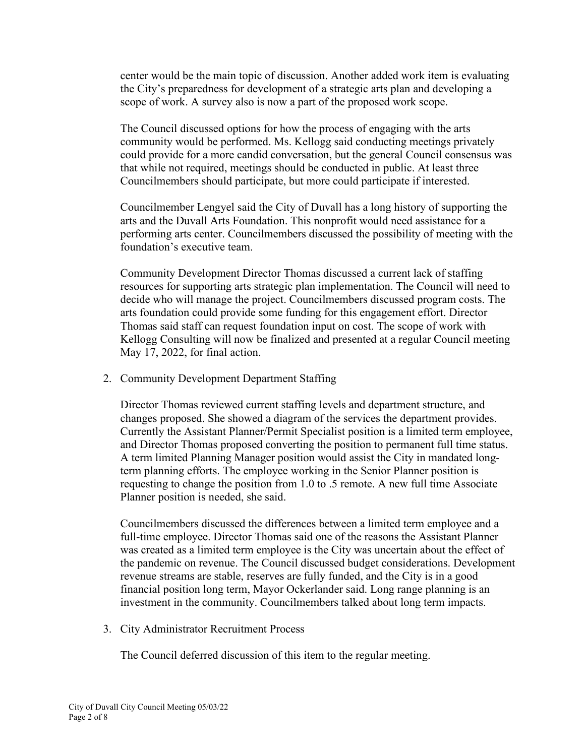center would be the main topic of discussion. Another added work item is evaluating the City's preparedness for development of a strategic arts plan and developing a scope of work. A survey also is now a part of the proposed work scope.

The Council discussed options for how the process of engaging with the arts community would be performed. Ms. Kellogg said conducting meetings privately could provide for a more candid conversation, but the general Council consensus was that while not required, meetings should be conducted in public. At least three Councilmembers should participate, but more could participate if interested.

Councilmember Lengyel said the City of Duvall has a long history of supporting the arts and the Duvall Arts Foundation. This nonprofit would need assistance for a performing arts center. Councilmembers discussed the possibility of meeting with the foundation's executive team.

Community Development Director Thomas discussed a current lack of staffing resources for supporting arts strategic plan implementation. The Council will need to decide who will manage the project. Councilmembers discussed program costs. The arts foundation could provide some funding for this engagement effort. Director Thomas said staff can request foundation input on cost. The scope of work with Kellogg Consulting will now be finalized and presented at a regular Council meeting May 17, 2022, for final action.

2. Community Development Department Staffing

Director Thomas reviewed current staffing levels and department structure, and changes proposed. She showed a diagram of the services the department provides. Currently the Assistant Planner/Permit Specialist position is a limited term employee, and Director Thomas proposed converting the position to permanent full time status. A term limited Planning Manager position would assist the City in mandated longterm planning efforts. The employee working in the Senior Planner position is requesting to change the position from 1.0 to .5 remote. A new full time Associate Planner position is needed, she said.

Councilmembers discussed the differences between a limited term employee and a full-time employee. Director Thomas said one of the reasons the Assistant Planner was created as a limited term employee is the City was uncertain about the effect of the pandemic on revenue. The Council discussed budget considerations. Development revenue streams are stable, reserves are fully funded, and the City is in a good financial position long term, Mayor Ockerlander said. Long range planning is an investment in the community. Councilmembers talked about long term impacts.

3. City Administrator Recruitment Process

The Council deferred discussion of this item to the regular meeting.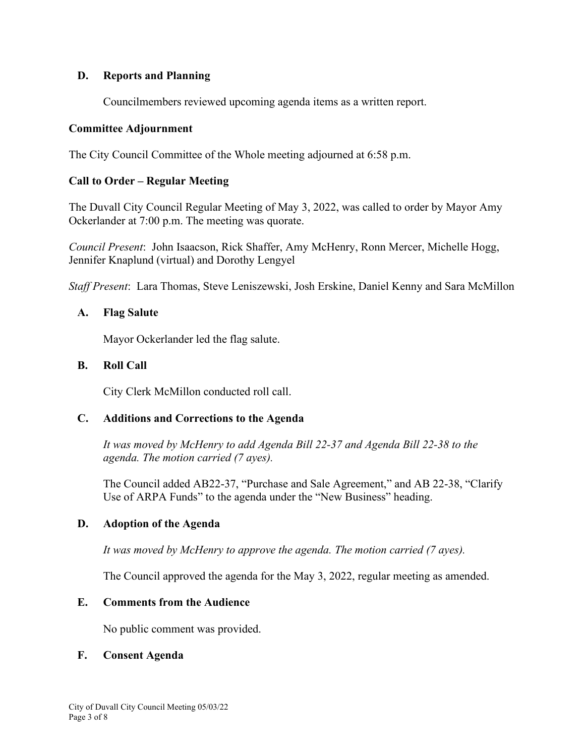### **D. Reports and Planning**

Councilmembers reviewed upcoming agenda items as a written report.

### **Committee Adjournment**

The City Council Committee of the Whole meeting adjourned at 6:58 p.m.

# **Call to Order – Regular Meeting**

The Duvall City Council Regular Meeting of May 3, 2022, was called to order by Mayor Amy Ockerlander at 7:00 p.m. The meeting was quorate.

*Council Present*: John Isaacson, Rick Shaffer, Amy McHenry, Ronn Mercer, Michelle Hogg, Jennifer Knaplund (virtual) and Dorothy Lengyel

*Staff Present*: Lara Thomas, Steve Leniszewski, Josh Erskine, Daniel Kenny and Sara McMillon

### **A. Flag Salute**

Mayor Ockerlander led the flag salute.

### **B. Roll Call**

City Clerk McMillon conducted roll call.

# **C. Additions and Corrections to the Agenda**

*It was moved by McHenry to add Agenda Bill 22-37 and Agenda Bill 22-38 to the agenda. The motion carried (7 ayes).*

The Council added AB22-37, "Purchase and Sale Agreement," and AB 22-38, "Clarify Use of ARPA Funds" to the agenda under the "New Business" heading.

# **D. Adoption of the Agenda**

*It was moved by McHenry to approve the agenda. The motion carried (7 ayes).*

The Council approved the agenda for the May 3, 2022, regular meeting as amended.

#### **E. Comments from the Audience**

No public comment was provided.

#### **F. Consent Agenda**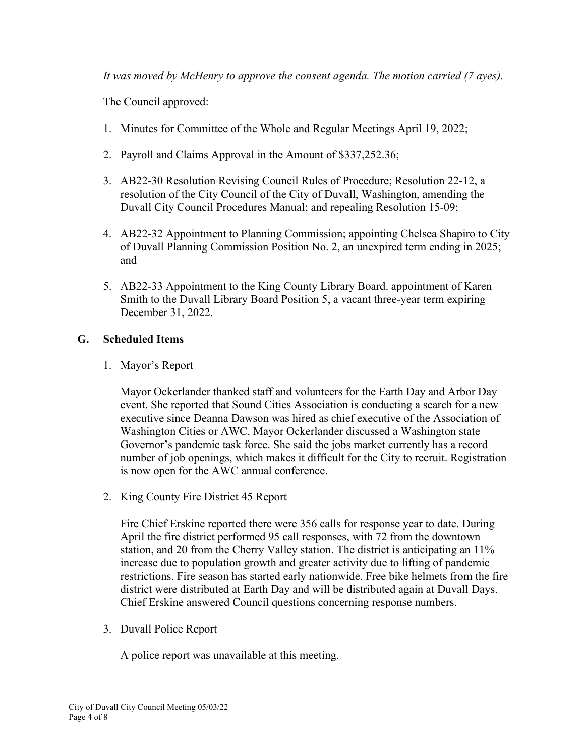*It was moved by McHenry to approve the consent agenda. The motion carried (7 ayes).*

The Council approved:

- 1. Minutes for Committee of the Whole and Regular Meetings April 19, 2022;
- 2. Payroll and Claims Approval in the Amount of \$337,252.36;
- 3. AB22-30 Resolution Revising Council Rules of Procedure; Resolution 22-12, a resolution of the City Council of the City of Duvall, Washington, amending the Duvall City Council Procedures Manual; and repealing Resolution 15-09;
- 4. AB22-32 Appointment to Planning Commission; appointing Chelsea Shapiro to City of Duvall Planning Commission Position No. 2, an unexpired term ending in 2025; and
- 5. AB22-33 Appointment to the King County Library Board. appointment of Karen Smith to the Duvall Library Board Position 5, a vacant three-year term expiring December 31, 2022.

#### **G. Scheduled Items**

1. Mayor's Report

Mayor Ockerlander thanked staff and volunteers for the Earth Day and Arbor Day event. She reported that Sound Cities Association is conducting a search for a new executive since Deanna Dawson was hired as chief executive of the Association of Washington Cities or AWC. Mayor Ockerlander discussed a Washington state Governor's pandemic task force. She said the jobs market currently has a record number of job openings, which makes it difficult for the City to recruit. Registration is now open for the AWC annual conference.

2. King County Fire District 45 Report

Fire Chief Erskine reported there were 356 calls for response year to date. During April the fire district performed 95 call responses, with 72 from the downtown station, and 20 from the Cherry Valley station. The district is anticipating an 11% increase due to population growth and greater activity due to lifting of pandemic restrictions. Fire season has started early nationwide. Free bike helmets from the fire district were distributed at Earth Day and will be distributed again at Duvall Days. Chief Erskine answered Council questions concerning response numbers.

3. Duvall Police Report

A police report was unavailable at this meeting.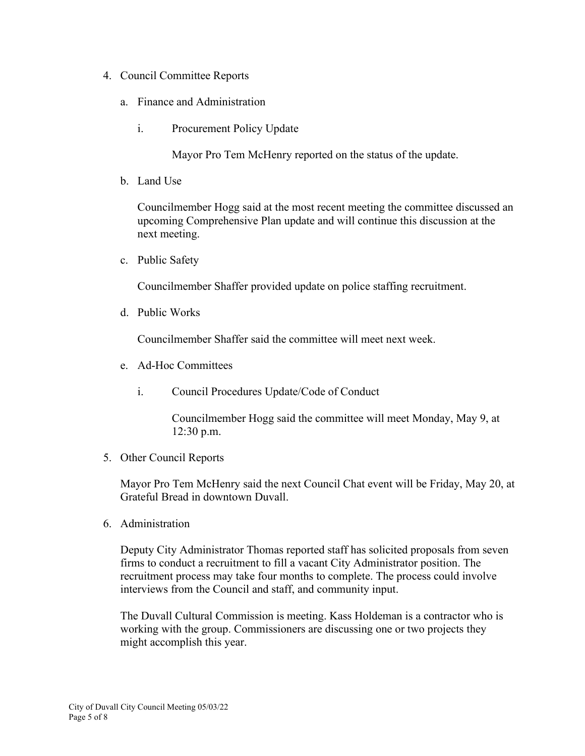- 4. Council Committee Reports
	- a. Finance and Administration
		- i. Procurement Policy Update

Mayor Pro Tem McHenry reported on the status of the update.

b. Land Use

Councilmember Hogg said at the most recent meeting the committee discussed an upcoming Comprehensive Plan update and will continue this discussion at the next meeting.

c. Public Safety

Councilmember Shaffer provided update on police staffing recruitment.

d. Public Works

Councilmember Shaffer said the committee will meet next week.

- e. Ad-Hoc Committees
	- i. Council Procedures Update/Code of Conduct

Councilmember Hogg said the committee will meet Monday, May 9, at 12:30 p.m.

5. Other Council Reports

Mayor Pro Tem McHenry said the next Council Chat event will be Friday, May 20, at Grateful Bread in downtown Duvall.

6. Administration

Deputy City Administrator Thomas reported staff has solicited proposals from seven firms to conduct a recruitment to fill a vacant City Administrator position. The recruitment process may take four months to complete. The process could involve interviews from the Council and staff, and community input.

The Duvall Cultural Commission is meeting. Kass Holdeman is a contractor who is working with the group. Commissioners are discussing one or two projects they might accomplish this year.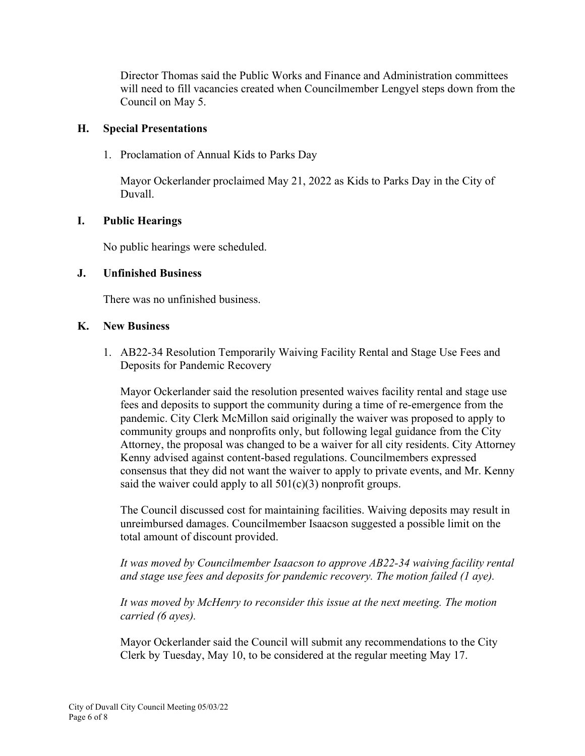Director Thomas said the Public Works and Finance and Administration committees will need to fill vacancies created when Councilmember Lengyel steps down from the Council on May 5.

#### **H. Special Presentations**

1. Proclamation of Annual Kids to Parks Day

Mayor Ockerlander proclaimed May 21, 2022 as Kids to Parks Day in the City of Duvall.

# **I. Public Hearings**

No public hearings were scheduled.

### **J. Unfinished Business**

There was no unfinished business.

#### **K. New Business**

1. AB22-34 Resolution Temporarily Waiving Facility Rental and Stage Use Fees and Deposits for Pandemic Recovery

Mayor Ockerlander said the resolution presented waives facility rental and stage use fees and deposits to support the community during a time of re-emergence from the pandemic. City Clerk McMillon said originally the waiver was proposed to apply to community groups and nonprofits only, but following legal guidance from the City Attorney, the proposal was changed to be a waiver for all city residents. City Attorney Kenny advised against content-based regulations. Councilmembers expressed consensus that they did not want the waiver to apply to private events, and Mr. Kenny said the waiver could apply to all  $501(c)(3)$  nonprofit groups.

The Council discussed cost for maintaining facilities. Waiving deposits may result in unreimbursed damages. Councilmember Isaacson suggested a possible limit on the total amount of discount provided.

*It was moved by Councilmember Isaacson to approve AB22-34 waiving facility rental and stage use fees and deposits for pandemic recovery. The motion failed (1 aye).*

*It was moved by McHenry to reconsider this issue at the next meeting. The motion carried (6 ayes).*

Mayor Ockerlander said the Council will submit any recommendations to the City Clerk by Tuesday, May 10, to be considered at the regular meeting May 17.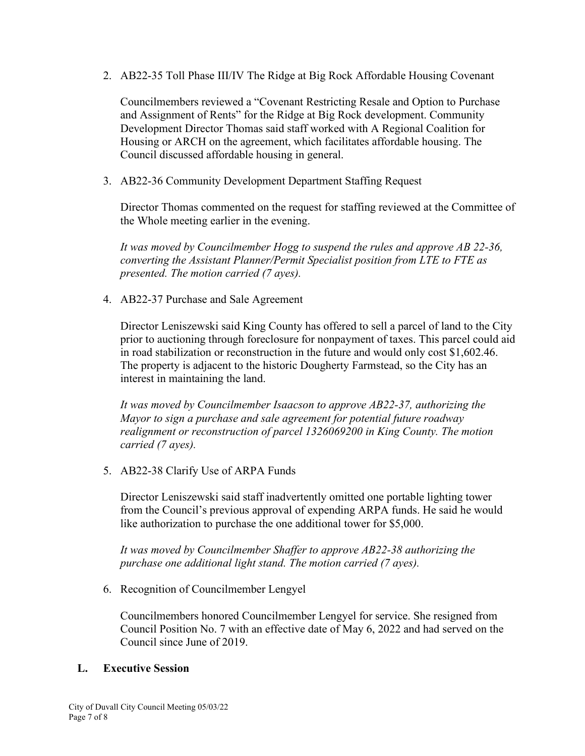2. AB22-35 Toll Phase III/IV The Ridge at Big Rock Affordable Housing Covenant

Councilmembers reviewed a "Covenant Restricting Resale and Option to Purchase and Assignment of Rents" for the Ridge at Big Rock development. Community Development Director Thomas said staff worked with A Regional Coalition for Housing or ARCH on the agreement, which facilitates affordable housing. The Council discussed affordable housing in general.

3. AB22-36 Community Development Department Staffing Request

Director Thomas commented on the request for staffing reviewed at the Committee of the Whole meeting earlier in the evening.

*It was moved by Councilmember Hogg to suspend the rules and approve AB 22-36, converting the Assistant Planner/Permit Specialist position from LTE to FTE as presented. The motion carried (7 ayes).*

4. AB22-37 Purchase and Sale Agreement

Director Leniszewski said King County has offered to sell a parcel of land to the City prior to auctioning through foreclosure for nonpayment of taxes. This parcel could aid in road stabilization or reconstruction in the future and would only cost \$1,602.46. The property is adjacent to the historic Dougherty Farmstead, so the City has an interest in maintaining the land.

*It was moved by Councilmember Isaacson to approve AB22-37, authorizing the Mayor to sign a purchase and sale agreement for potential future roadway realignment or reconstruction of parcel 1326069200 in King County. The motion carried (7 ayes).*

5. AB22-38 Clarify Use of ARPA Funds

Director Leniszewski said staff inadvertently omitted one portable lighting tower from the Council's previous approval of expending ARPA funds. He said he would like authorization to purchase the one additional tower for \$5,000.

*It was moved by Councilmember Shaffer to approve AB22-38 authorizing the purchase one additional light stand. The motion carried (7 ayes).*

6. Recognition of Councilmember Lengyel

Councilmembers honored Councilmember Lengyel for service. She resigned from Council Position No. 7 with an effective date of May 6, 2022 and had served on the Council since June of 2019.

#### **L. Executive Session**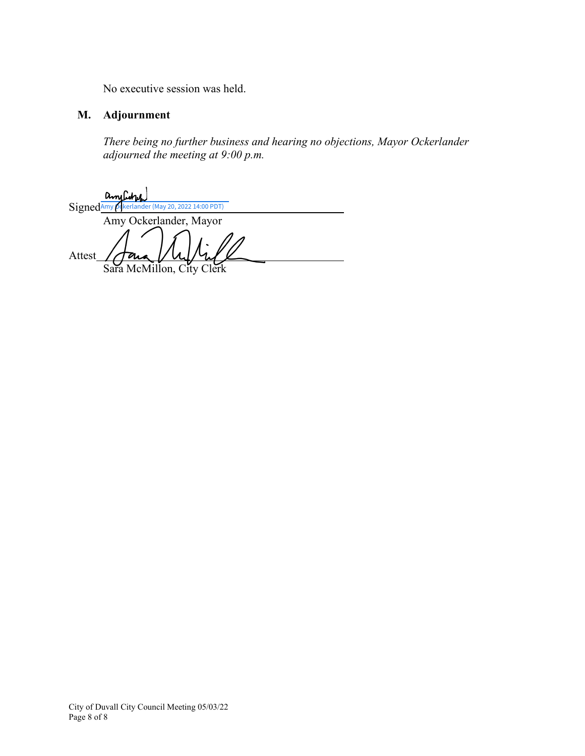No executive session was held.

# **M. Adjournment**

*There being no further business and hearing no objections, Mayor Ockerlander adjourned the meeting at 9:00 p.m.* 

Signed [Amy Ockerlander \(May 20, 2022 14:00 PDT\)](https://na3.documents.adobe.com/verifier?tx=CBJCHBCAABAAppDSYDQVo1L590fwhUuoRiH9q3twNcBC) Amy Ockerlander, Mayor Attest Sara McMillon, City Clerk